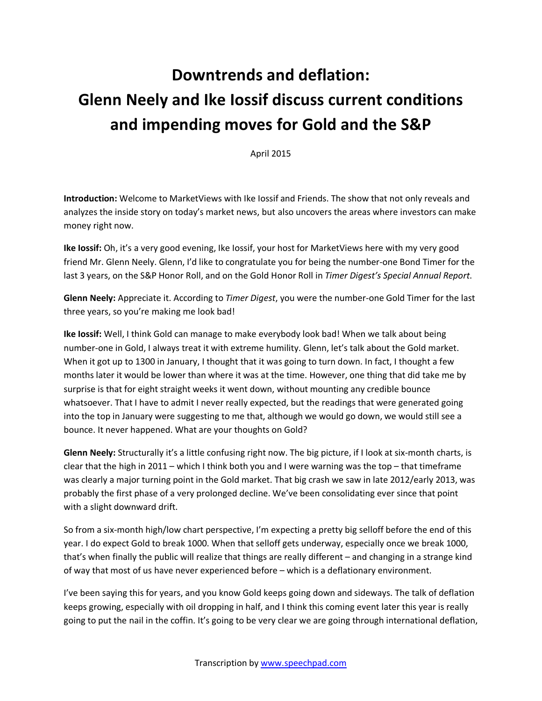## **Downtrends and deflation: Glenn Neely and Ike Iossif discuss current conditions and impending moves for Gold and the S&P**

April 2015

**Introduction:** Welcome to MarketViews with Ike Iossif and Friends. The show that not only reveals and analyzes the inside story on today's market news, but also uncovers the areas where investors can make money right now.

**Ike Iossif:** Oh, it's a very good evening, Ike Iossif, your host for MarketViews here with my very good friend Mr. Glenn Neely. Glenn, I'd like to congratulate you for being the number-one Bond Timer for the last 3 years, on the S&P Honor Roll, and on the Gold Honor Roll in *Timer Digest's Special Annual Report*.

**Glenn Neely:** Appreciate it. According to *Timer Digest*, you were the number-one Gold Timer for the last three years, so you're making me look bad!

**Ike Iossif:** Well, I think Gold can manage to make everybody look bad! When we talk about being number-one in Gold, I always treat it with extreme humility. Glenn, let's talk about the Gold market. When it got up to 1300 in January, I thought that it was going to turn down. In fact, I thought a few months later it would be lower than where it was at the time. However, one thing that did take me by surprise is that for eight straight weeks it went down, without mounting any credible bounce whatsoever. That I have to admit I never really expected, but the readings that were generated going into the top in January were suggesting to me that, although we would go down, we would still see a bounce. It never happened. What are your thoughts on Gold?

**Glenn Neely:** Structurally it's a little confusing right now. The big picture, if I look at six-month charts, is clear that the high in 2011 – which I think both you and I were warning was the top – that timeframe was clearly a major turning point in the Gold market. That big crash we saw in late 2012/early 2013, was probably the first phase of a very prolonged decline. We've been consolidating ever since that point with a slight downward drift.

So from a six-month high/low chart perspective, I'm expecting a pretty big selloff before the end of this year. I do expect Gold to break 1000. When that selloff gets underway, especially once we break 1000, that's when finally the public will realize that things are really different – and changing in a strange kind of way that most of us have never experienced before – which is a deflationary environment.

I've been saying this for years, and you know Gold keeps going down and sideways. The talk of deflation keeps growing, especially with oil dropping in half, and I think this coming event later this year is really going to put the nail in the coffin. It's going to be very clear we are going through international deflation,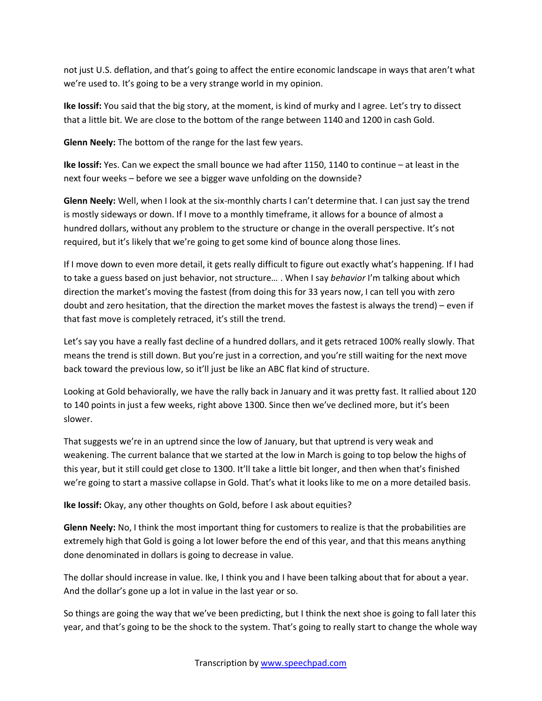not just U.S. deflation, and that's going to affect the entire economic landscape in ways that aren't what we're used to. It's going to be a very strange world in my opinion.

**Ike Iossif:** You said that the big story, at the moment, is kind of murky and I agree. Let's try to dissect that a little bit. We are close to the bottom of the range between 1140 and 1200 in cash Gold.

**Glenn Neely:** The bottom of the range for the last few years.

**Ike Iossif:** Yes. Can we expect the small bounce we had after 1150, 1140 to continue – at least in the next four weeks – before we see a bigger wave unfolding on the downside?

**Glenn Neely:** Well, when I look at the six-monthly charts I can't determine that. I can just say the trend is mostly sideways or down. If I move to a monthly timeframe, it allows for a bounce of almost a hundred dollars, without any problem to the structure or change in the overall perspective. It's not required, but it's likely that we're going to get some kind of bounce along those lines.

If I move down to even more detail, it gets really difficult to figure out exactly what's happening. If I had to take a guess based on just behavior, not structure… . When I say *behavior* I'm talking about which direction the market's moving the fastest (from doing this for 33 years now, I can tell you with zero doubt and zero hesitation, that the direction the market moves the fastest is always the trend) – even if that fast move is completely retraced, it's still the trend.

Let's say you have a really fast decline of a hundred dollars, and it gets retraced 100% really slowly. That means the trend is still down. But you're just in a correction, and you're still waiting for the next move back toward the previous low, so it'll just be like an ABC flat kind of structure.

Looking at Gold behaviorally, we have the rally back in January and it was pretty fast. It rallied about 120 to 140 points in just a few weeks, right above 1300. Since then we've declined more, but it's been slower.

That suggests we're in an uptrend since the low of January, but that uptrend is very weak and weakening. The current balance that we started at the low in March is going to top below the highs of this year, but it still could get close to 1300. It'll take a little bit longer, and then when that's finished we're going to start a massive collapse in Gold. That's what it looks like to me on a more detailed basis.

**Ike Iossif:** Okay, any other thoughts on Gold, before I ask about equities?

**Glenn Neely:** No, I think the most important thing for customers to realize is that the probabilities are extremely high that Gold is going a lot lower before the end of this year, and that this means anything done denominated in dollars is going to decrease in value.

The dollar should increase in value. Ike, I think you and I have been talking about that for about a year. And the dollar's gone up a lot in value in the last year or so.

So things are going the way that we've been predicting, but I think the next shoe is going to fall later this year, and that's going to be the shock to the system. That's going to really start to change the whole way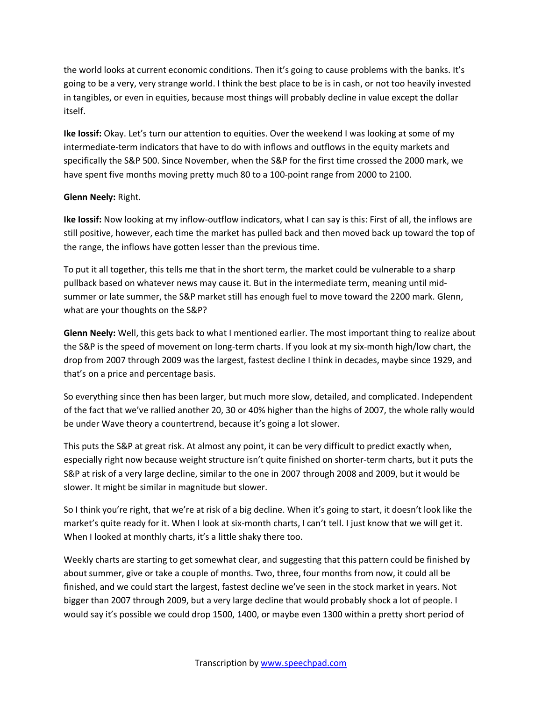the world looks at current economic conditions. Then it's going to cause problems with the banks. It's going to be a very, very strange world. I think the best place to be is in cash, or not too heavily invested in tangibles, or even in equities, because most things will probably decline in value except the dollar itself.

**Ike Iossif:** Okay. Let's turn our attention to equities. Over the weekend I was looking at some of my intermediate-term indicators that have to do with inflows and outflows in the equity markets and specifically the S&P 500. Since November, when the S&P for the first time crossed the 2000 mark, we have spent five months moving pretty much 80 to a 100-point range from 2000 to 2100.

## **Glenn Neely:** Right.

**Ike Iossif:** Now looking at my inflow-outflow indicators, what I can say is this: First of all, the inflows are still positive, however, each time the market has pulled back and then moved back up toward the top of the range, the inflows have gotten lesser than the previous time.

To put it all together, this tells me that in the short term, the market could be vulnerable to a sharp pullback based on whatever news may cause it. But in the intermediate term, meaning until midsummer or late summer, the S&P market still has enough fuel to move toward the 2200 mark. Glenn, what are your thoughts on the S&P?

**Glenn Neely:** Well, this gets back to what I mentioned earlier. The most important thing to realize about the S&P is the speed of movement on long-term charts. If you look at my six-month high/low chart, the drop from 2007 through 2009 was the largest, fastest decline I think in decades, maybe since 1929, and that's on a price and percentage basis.

So everything since then has been larger, but much more slow, detailed, and complicated. Independent of the fact that we've rallied another 20, 30 or 40% higher than the highs of 2007, the whole rally would be under Wave theory a countertrend, because it's going a lot slower.

This puts the S&P at great risk. At almost any point, it can be very difficult to predict exactly when, especially right now because weight structure isn't quite finished on shorter-term charts, but it puts the S&P at risk of a very large decline, similar to the one in 2007 through 2008 and 2009, but it would be slower. It might be similar in magnitude but slower.

So I think you're right, that we're at risk of a big decline. When it's going to start, it doesn't look like the market's quite ready for it. When I look at six-month charts, I can't tell. I just know that we will get it. When I looked at monthly charts, it's a little shaky there too.

Weekly charts are starting to get somewhat clear, and suggesting that this pattern could be finished by about summer, give or take a couple of months. Two, three, four months from now, it could all be finished, and we could start the largest, fastest decline we've seen in the stock market in years. Not bigger than 2007 through 2009, but a very large decline that would probably shock a lot of people. I would say it's possible we could drop 1500, 1400, or maybe even 1300 within a pretty short period of